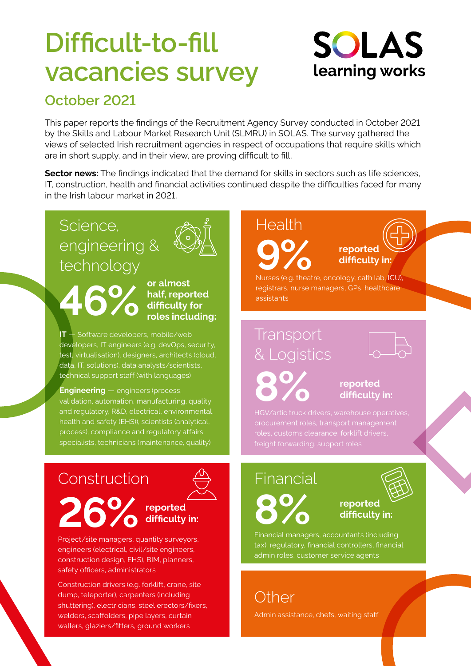# **Difficult-to-fill vacancies survey**

## **SOLAS** learning works

### **October 2021**

This paper reports the findings of the Recruitment Agency Survey conducted in October 2021 by the Skills and Labour Market Research Unit (SLMRU) in SOLAS. The survey gathered the views of selected Irish recruitment agencies in respect of occupations that require skills which are in short supply, and in their view, are proving difficult to fill.

**Sector news:** The findings indicated that the demand for skills in sectors such as life sciences, IT, construction, health and financial activities continued despite the difficulties faced for many in the Irish labour market in 2021.

### Science, engineering & technology

**46%**



**or almost half, reported difficulty for roles including:**

**IT** — Software developers, mobile/web developers, IT engineers (e.g. devOps, security, test, virtualisation), designers, architects (cloud, data, IT, solutions), data analysts/scientists, technical support staff (with languages)

**Engineering** — engineers (process, validation, automation, manufacturing, quality and regulatory, R&D, electrical, environmental, health and safety (EHS)), scientists (analytical, process), compliance and regulatory affairs specialists, technicians (maintenance, quality)

### Construction

### **reported difficulty in: 26%**

Project/site managers, quantity surveyors, engineers (electrical, civil/site engineers, construction design, EHS), BIM, planners, safety officers, administrators

Construction drivers (e.g. forklift, crane, site dump, teleporter), carpenters (including shuttering), electricians, steel erectors/fixers, welders, scaffolders, pipe layers, curtain wallers, glaziers/fitters, ground workers

# **Health 9%**

**reported difficulty in:**

Nurses (e.g. theatre, oncology, cath lab, ICU), registrars, nurse managers, GPs, healthcare assistants

### **Transport** & Logistics

**8%**

### **reported difficulty in:**

## **Financial**



 **reported difficulty in:**

Financial managers, accountants (including tax), regulatory, financial controllers, financial admin roles, customer service agents

**Other** 

Admin assistance, chefs, waiting staff

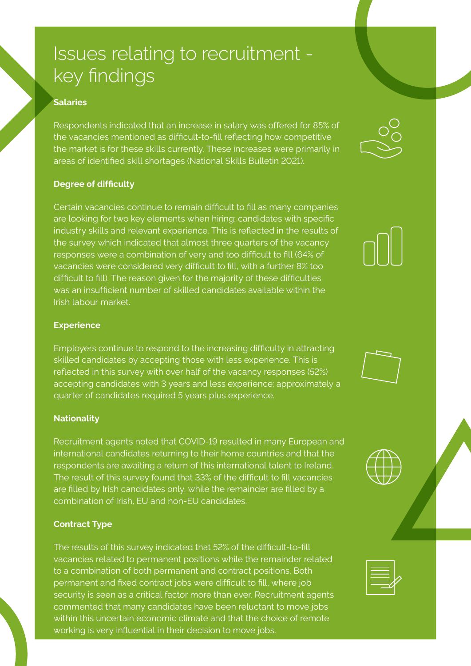## Issues relating to recruitment key findings

#### **Salaries**

Respondents indicated that an increase in salary was offered for 85% of the vacancies mentioned as difficult-to-fill reflecting how competitive the market is for these skills currently. These increases were primarily in areas of identified skill shortages (National Skills Bulletin 2021).

#### **Degree of difficulty**

Certain vacancies continue to remain difficult to fill as many companies are looking for two key elements when hiring: candidates with specific industry skills and relevant experience. This is reflected in the results of the survey which indicated that almost three quarters of the vacancy responses were a combination of very and too difficult to fill (64% of vacancies were considered very difficult to fill, with a further 8% too difficult to fill). The reason given for the majority of these difficulties was an insufficient number of skilled candidates available within the Irish labour market.

#### **Experience**

Employers continue to respond to the increasing difficulty in attracting skilled candidates by accepting those with less experience. This is reflected in this survey with over half of the vacancy responses (52%) accepting candidates with 3 years and less experience; approximately a quarter of candidates required 5 years plus experience.

#### **Nationality**

Recruitment agents noted that COVID-19 resulted in many European and international candidates returning to their home countries and that the respondents are awaiting a return of this international talent to Ireland. The result of this survey found that 33% of the difficult to fill vacancies are filled by Irish candidates only, while the remainder are filled by a combination of Irish, EU and non-EU candidates.

#### **Contract Type**

The results of this survey indicated that 52% of the difficult-to-fill vacancies related to permanent positions while the remainder related to a combination of both permanent and contract positions. Both permanent and fixed contract jobs were difficult to fill, where job security is seen as a critical factor more than ever. Recruitment agents commented that many candidates have been reluctant to move jobs within this uncertain economic climate and that the choice of remote working is very influential in their decision to move jobs.









|--|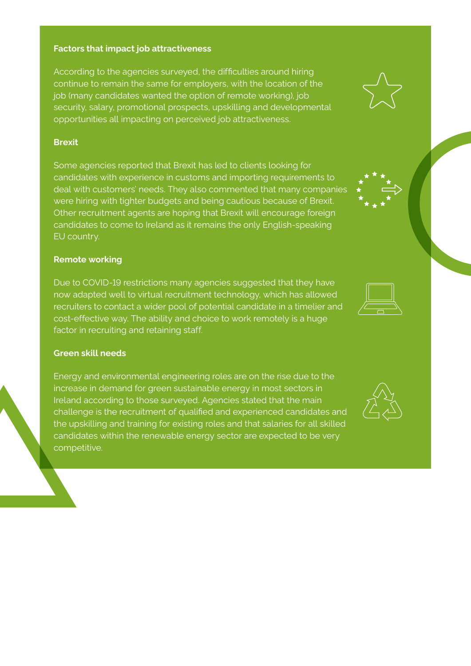#### **Factors that impact job attractiveness**

According to the agencies surveyed, the difficulties around hiring continue to remain the same for employers, with the location of the job (many candidates wanted the option of remote working), job security, salary, promotional prospects, upskilling and developmental opportunities all impacting on perceived job attractiveness.

#### **Brexit**

Some agencies reported that Brexit has led to clients looking for candidates with experience in customs and importing requirements to deal with customers' needs. They also commented that many companies were hiring with tighter budgets and being cautious because of Brexit. Other recruitment agents are hoping that Brexit will encourage foreign candidates to come to Ireland as it remains the only English-speaking EU country.

#### **Remote working**

Due to COVID-19 restrictions many agencies suggested that they have now adapted well to virtual recruitment technology, which has allowed recruiters to contact a wider pool of potential candidate in a timelier and cost-effective way. The ability and choice to work remotely is a huge factor in recruiting and retaining staff.

#### **Green skill needs**

Energy and environmental engineering roles are on the rise due to the increase in demand for green sustainable energy in most sectors in Ireland according to those surveyed. Agencies stated that the main challenge is the recruitment of qualified and experienced candidates and the upskilling and training for existing roles and that salaries for all skilled candidates within the renewable energy sector are expected to be very competitive.